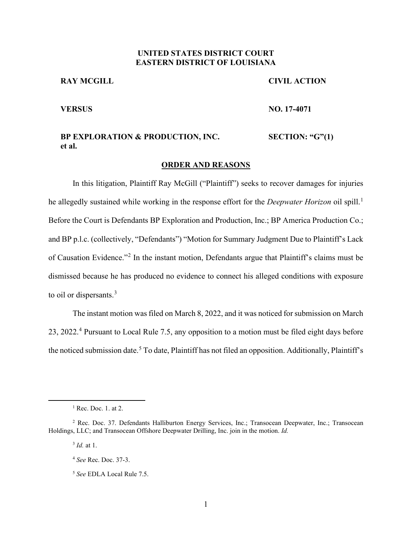## **UNITED STATES DISTRICT COURT EASTERN DISTRICT OF LOUISIANA**

#### **RAY MCGILL**

#### **CIVIL ACTION**

#### **VERSUS**

**NO. 17-4071** 

#### **BP EXPLORATION & PRODUCTION, INC. et al. SECTION: "G"(1)**

#### **ORDER AND REASONS**

In this litigation, Plaintiff Ray McGill ("Plaintiff") seeks to recover damages for injuries he allegedly sustained while working in the response effort for the *Deepwater Horizon* oil spill. 1 Before the Court is Defendants BP Exploration and Production, Inc.; BP America Production Co.; and BP p.l.c. (collectively, "Defendants") "Motion for Summary Judgment Due to Plaintiff's Lack of Causation Evidence."<sup>2</sup> In the instant motion, Defendants argue that Plaintiff's claims must be dismissed because he has produced no evidence to connect his alleged conditions with exposure to oil or dispersants.<sup>3</sup>

The instant motion was filed on March 8, 2022, and it was noticed for submission on March 23, 2022. <sup>4</sup> Pursuant to Local Rule 7.5, any opposition to a motion must be filed eight days before the noticed submission date.<sup>5</sup> To date, Plaintiff has not filed an opposition. Additionally, Plaintiff's

 $<sup>1</sup>$  Rec. Doc. 1. at 2.</sup>

<sup>2</sup> Rec. Doc. 37. Defendants Halliburton Energy Services, Inc.; Transocean Deepwater, Inc.; Transocean Holdings, LLC; and Transocean Offshore Deepwater Drilling, Inc. join in the motion. *Id.*

<sup>3</sup> *Id.* at 1.

<sup>4</sup> *See* Rec. Doc. 37-3.

<sup>5</sup> *See* EDLA Local Rule 7.5.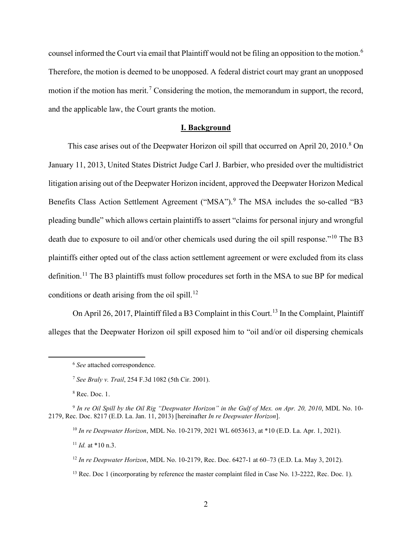counsel informed the Court via email that Plaintiff would not be filing an opposition to the motion.<sup>6</sup> Therefore, the motion is deemed to be unopposed. A federal district court may grant an unopposed motion if the motion has merit.<sup>7</sup> Considering the motion, the memorandum in support, the record, and the applicable law, the Court grants the motion.

#### **I. Background**

This case arises out of the Deepwater Horizon oil spill that occurred on April 20, 2010.<sup>8</sup> On January 11, 2013, United States District Judge Carl J. Barbier, who presided over the multidistrict litigation arising out of the Deepwater Horizon incident, approved the Deepwater Horizon Medical Benefits Class Action Settlement Agreement ("MSA").<sup>9</sup> The MSA includes the so-called "B3 pleading bundle" which allows certain plaintiffs to assert "claims for personal injury and wrongful death due to exposure to oil and/or other chemicals used during the oil spill response."<sup>10</sup> The B3 plaintiffs either opted out of the class action settlement agreement or were excluded from its class definition.<sup>11</sup> The B3 plaintiffs must follow procedures set forth in the MSA to sue BP for medical conditions or death arising from the oil spill.<sup>12</sup>

On April 26, 2017, Plaintiff filed a B3 Complaint in this Court.<sup>13</sup> In the Complaint, Plaintiff alleges that the Deepwater Horizon oil spill exposed him to "oil and/or oil dispersing chemicals

<sup>8</sup> Rec. Doc. 1.

<sup>10</sup> *In re Deepwater Horizon*, MDL No. 10-2179, 2021 WL 6053613, at \*10 (E.D. La. Apr. 1, 2021).

<sup>11</sup> *Id.* at \*10 n.3.

<sup>6</sup> *See* attached correspondence.

<sup>7</sup> *See Braly v. Trail*, 254 F.3d 1082 (5th Cir. 2001).

<sup>9</sup> *In re Oil Spill by the Oil Rig "Deepwater Horizon" in the Gulf of Mex. on Apr. 20, 2010*, MDL No. 10- 2179, Rec. Doc. 8217 (E.D. La. Jan. 11, 2013) [hereinafter *In re Deepwater Horizon*].

<sup>12</sup> *In re Deepwater Horizon*, MDL No. 10-2179, Rec. Doc. 6427-1 at 60–73 (E.D. La. May 3, 2012).

<sup>&</sup>lt;sup>13</sup> Rec. Doc 1 (incorporating by reference the master complaint filed in Case No. 13-2222, Rec. Doc. 1).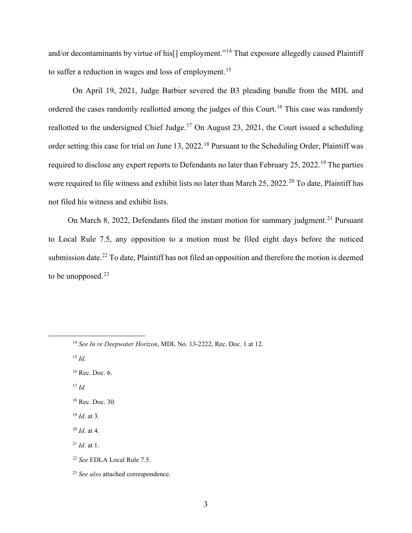and/or decontaminants by virtue of his[] employment."<sup>14</sup> That exposure allegedly caused Plaintiff to suffer a reduction in wages and loss of employment.<sup>15</sup>

On April 19, 2021, Judge Barbier severed the B3 pleading bundle from the MDL and ordered the cases randomly reallotted among the judges of this Court.<sup>16</sup> This case was randomly reallotted to the undersigned Chief Judge.<sup>17</sup> On August 23, 2021, the Court issued a scheduling order setting this case for trial on June 13, 2022.<sup>18</sup> Pursuant to the Scheduling Order, Plaintiff was required to disclose any expert reports to Defendants no later than February 25, 2022.<sup>19</sup> The parties were required to file witness and exhibit lists no later than March 25, 2022.<sup>20</sup> To date, Plaintiff has not filed his witness and exhibit lists.

On March 8, 2022, Defendants filed the instant motion for summary judgment.<sup>21</sup> Pursuant to Local Rule 7.5, any opposition to a motion must be filed eight days before the noticed submission date.<sup>22</sup> To date, Plaintiff has not filed an opposition and therefore the motion is deemed to be unopposed. $23$ 

<sup>15</sup> *Id.*

<sup>17</sup> *Id.*

<sup>19</sup> *Id*. at 3.

- <sup>21</sup> *Id.* at 1.
- <sup>22</sup> *See* EDLA Local Rule 7.5.

<sup>14</sup> *See In re Deepwater Horizon*, MDL No. 13-2222, Rec. Doc. 1 at 12.

<sup>16</sup> Rec. Doc. 6.

<sup>18</sup> Rec. Doc. 30.

<sup>20</sup> *Id*. at 4.

<sup>23</sup> *See also* attached correspondence.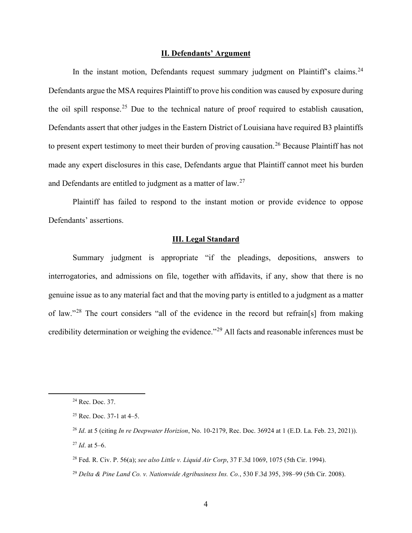#### **II. Defendants' Argument**

In the instant motion, Defendants request summary judgment on Plaintiff's claims.<sup>24</sup> Defendants argue the MSA requires Plaintiff to prove his condition was caused by exposure during the oil spill response.<sup>25</sup> Due to the technical nature of proof required to establish causation, Defendants assert that other judges in the Eastern District of Louisiana have required B3 plaintiffs to present expert testimony to meet their burden of proving causation.<sup>26</sup> Because Plaintiff has not made any expert disclosures in this case, Defendants argue that Plaintiff cannot meet his burden and Defendants are entitled to judgment as a matter of law.<sup>27</sup>

Plaintiff has failed to respond to the instant motion or provide evidence to oppose Defendants' assertions.

#### **III. Legal Standard**

Summary judgment is appropriate "if the pleadings, depositions, answers to interrogatories, and admissions on file, together with affidavits, if any, show that there is no genuine issue as to any material fact and that the moving party is entitled to a judgment as a matter of law."<sup>28</sup> The court considers "all of the evidence in the record but refrain[s] from making credibility determination or weighing the evidence."29 All facts and reasonable inferences must be

<sup>24</sup> Rec. Doc. 37.

<sup>25</sup> Rec. Doc. 37-1 at 4–5.

<sup>26</sup> *Id*. at 5 (citing *In re Deepwater Horizion*, No. 10-2179, Rec. Doc. 36924 at 1 (E.D. La. Feb. 23, 2021)). <sup>27</sup> *Id*. at 5–6.

<sup>28</sup> Fed. R. Civ. P. 56(a); *see also Little v. Liquid Air Corp*, 37 F.3d 1069, 1075 (5th Cir. 1994).

<sup>29</sup> *Delta & Pine Land Co. v. Nationwide Agribusiness Ins. Co.*, 530 F.3d 395, 398–99 (5th Cir. 2008).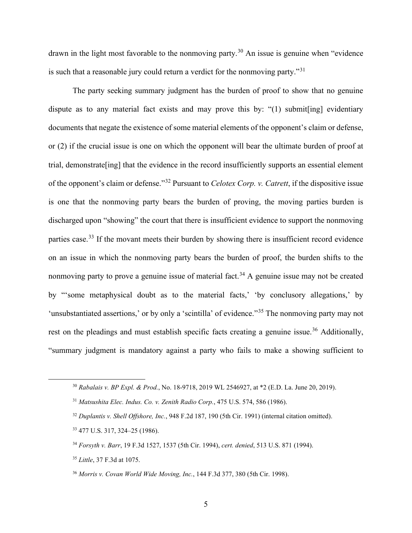drawn in the light most favorable to the nonmoving party.<sup>30</sup> An issue is genuine when "evidence" is such that a reasonable jury could return a verdict for the nonmoving party."<sup>31</sup>

The party seeking summary judgment has the burden of proof to show that no genuine dispute as to any material fact exists and may prove this by: "(1) submit[ing] evidentiary documents that negate the existence of some material elements of the opponent's claim or defense, or (2) if the crucial issue is one on which the opponent will bear the ultimate burden of proof at trial, demonstrate[ing] that the evidence in the record insufficiently supports an essential element of the opponent's claim or defense."<sup>32</sup> Pursuant to *Celotex Corp. v. Catrett*, if the dispositive issue is one that the nonmoving party bears the burden of proving, the moving parties burden is discharged upon "showing" the court that there is insufficient evidence to support the nonmoving parties case.<sup>33</sup> If the movant meets their burden by showing there is insufficient record evidence on an issue in which the nonmoving party bears the burden of proof, the burden shifts to the nonmoving party to prove a genuine issue of material fact.<sup>34</sup> A genuine issue may not be created by "'some metaphysical doubt as to the material facts,' 'by conclusory allegations,' by 'unsubstantiated assertions,' or by only a 'scintilla' of evidence."<sup>35</sup> The nonmoving party may not rest on the pleadings and must establish specific facts creating a genuine issue.<sup>36</sup> Additionally, "summary judgment is mandatory against a party who fails to make a showing sufficient to

<sup>35</sup> *Little*, 37 F.3d at 1075.

<sup>30</sup> *Rabalais v. BP Expl. & Prod.*, No. 18-9718, 2019 WL 2546927, at \*2 (E.D. La. June 20, 2019).

<sup>31</sup> *Matsushita Elec. Indus. Co. v. Zenith Radio Corp.*, 475 U.S. 574, 586 (1986).

<sup>32</sup> *Duplantis v. Shell Offshore, Inc.*, 948 F.2d 187, 190 (5th Cir. 1991) (internal citation omitted).

<sup>33</sup> 477 U.S. 317, 324–25 (1986).

<sup>34</sup> *Forsyth v. Barr*, 19 F.3d 1527, 1537 (5th Cir. 1994), *cert. denied*, 513 U.S. 871 (1994).

<sup>36</sup> *Morris v. Covan World Wide Moving, Inc.*, 144 F.3d 377, 380 (5th Cir. 1998).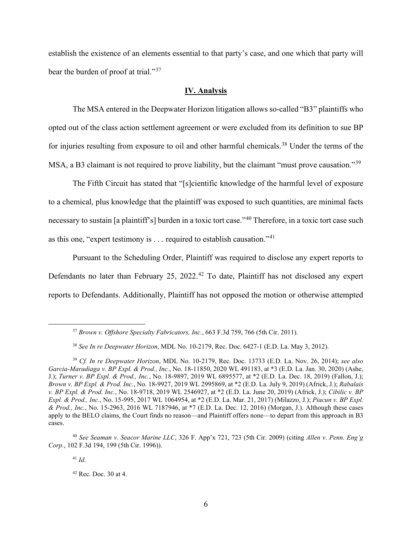establish the existence of an elements essential to that party's case, and one which that party will bear the burden of proof at trial."<sup>37</sup>

### **IV. Analysis**

The MSA entered in the Deepwater Horizon litigation allows so-called "B3" plaintiffs who opted out of the class action settlement agreement or were excluded from its definition to sue BP for injuries resulting from exposure to oil and other harmful chemicals.<sup>38</sup> Under the terms of the MSA, a B3 claimant is not required to prove liability, but the claimant "must prove causation."<sup>39</sup>

The Fifth Circuit has stated that "[s]cientific knowledge of the harmful level of exposure to a chemical, plus knowledge that the plaintiff was exposed to such quantities, are minimal facts necessary to sustain [a plaintiff's] burden in a toxic tort case."<sup>40</sup> Therefore, in a toxic tort case such as this one, "expert testimony is  $\dots$  required to establish causation."<sup>41</sup>

Pursuant to the Scheduling Order, Plaintiff was required to disclose any expert reports to Defendants no later than February 25, 2022.<sup>42</sup> To date, Plaintiff has not disclosed any expert reports to Defendants. Additionally, Plaintiff has not opposed the motion or otherwise attempted

<sup>41</sup> *Id*.

<sup>37</sup> *Brown v. Offshore Specialty Fabricators, Inc.*, 663 F.3d 759, 766 (5th Cir. 2011).

<sup>38</sup> *See In re Deepwater Horizon*, MDL No. 10-2179, Rec. Doc. 6427-1 (E.D. La. May 3, 2012).

<sup>39</sup> *Cf. In re Deepwater Horizon*, MDL No. 10-2179, Rec. Doc. 13733 (E.D. La. Nov. 26, 2014); *see also Garcia-Maradiaga v. BP Expl. & Prod., Inc.*, No. 18-11850, 2020 WL 491183, at \*3 (E.D. La. Jan. 30, 2020) (Ashe, J.); *Turner v. BP Expl. & Prod., Inc.*, No. 18-9897, 2019 WL 6895577, at \*2 (E.D. La. Dec. 18, 2019) (Fallon, J.); *Brown v. BP Expl. & Prod. Inc.*, No. 18-9927, 2019 WL 2995869, at \*2 (E.D. La. July 9, 2019) (Africk, J.); *Rabalais v. BP Expl. & Prod. Inc.*, No. 18-9718, 2019 WL 2546927, at \*2 (E.D. La. June 20, 2019) (Africk, J.); *Cibilic v. BP Expl. & Prod., Inc.*, No. 15-995, 2017 WL 1064954, at \*2 (E.D. La. Mar. 21, 2017) (Milazzo, J.); *Piacun v. BP Expl. & Prod., Inc.*, No. 15-2963, 2016 WL 7187946, at \*7 (E.D. La. Dec. 12, 2016) (Morgan, J.). Although these cases apply to the BELO claims, the Court finds no reason—and Plaintiff offers none—to depart from this approach in B3 cases.

<sup>40</sup> *See Seaman v. Seacor Marine LLC*, 326 F. App'x 721, 723 (5th Cir. 2009) (citing *Allen v. Penn. Eng'g Corp.*, 102 F.3d 194, 199 (5th Cir. 1996)).

<sup>42</sup> Rec. Doc. 30 at 4.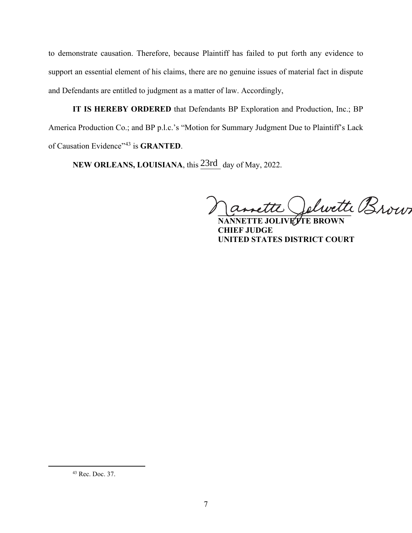to demonstrate causation. Therefore, because Plaintiff has failed to put forth any evidence to support an essential element of his claims, there are no genuine issues of material fact in dispute and Defendants are entitled to judgment as a matter of law. Accordingly,

**IT IS HEREBY ORDERED** that Defendants BP Exploration and Production, Inc.; BP America Production Co.; and BP p.l.c.'s "Motion for Summary Judgment Due to Plaintiff's Lack of Causation Evidence"<sup>43</sup> is **GRANTED**.

NEW ORLEANS, LOUISIANA, this **23rd** day of May, 2022.

annette Jelwette Brown

**JOLIVETTE BROWN CHIEF JUDGE UNITED STATES DISTRICT COURT**

<sup>43</sup> Rec. Doc. 37.